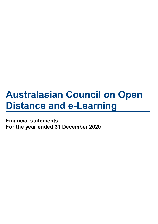Financial statements For the year ended 31 December 2020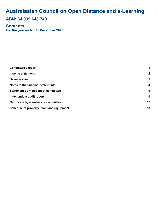### ABN: 64 939 648 740

#### For the year ended 31 December 2020 **Contents**

| <b>Committee's report</b>                  | 1              |
|--------------------------------------------|----------------|
| <b>Income statement</b>                    | $\overline{2}$ |
| <b>Balance sheet</b>                       | 3              |
| Notes to the financial statements          | 4              |
| <b>Statement by members of committee</b>   | 9              |
| Independent audit report                   | 10             |
| <b>Certificate by members of committee</b> | 12             |
| Schedule of property, plant and equipment  | 13             |
|                                            |                |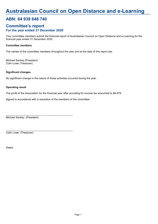## ABN: 64 939 648 740

#### For the year ended 31 December 2020 Committee's report

Your committee members submit the financial report of Australasian Council on Open Distance and e-Learning for the financial year ended 31 December 2020.

#### Committee members

The names of the committee members throughout the year and at the date of this report are:

Colin Lowe (Treasurer) Michael Sankey (President)

#### Significant changes

No significant change in the nature of these activities occurred during the year.

#### Operating result

The profit of the Association for the financial year after providing for income tax amounted to \$6,679.

Signed in accordance with a resolution of the members of the committee:

 $\_$  . The contribution of the contribution of  $\mathcal{L}_\mathcal{A}$ 

 $\_$  . The contribution of the contribution of  $\mathcal{L}_\mathcal{A}$ 

Michael Sankey (President)

Colin Lowe (Treasurer)

Dated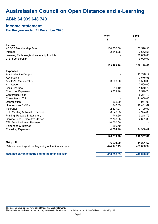### ABN: 64 939 648 740

## Income statement

#### For the year ended 31 December 2020

|                                                          | 2020         | 2019       |  |
|----------------------------------------------------------|--------------|------------|--|
|                                                          | \$           | \$         |  |
| <b>Income</b>                                            |              |            |  |
| <b>ACODE Membership Fees</b>                             | 130,350.00   | 150,516.90 |  |
| Interest                                                 | 2,848.98     | 2,662.58   |  |
| Learning Technologies Leadership Institute               |              | 96,000.00  |  |
| <b>LTLI Sponsorship</b>                                  |              | 9,000.00   |  |
|                                                          | 133,198.98   | 258,179.48 |  |
| <b>Expenses</b>                                          |              |            |  |
| <b>Administration Support</b>                            |              | 13,726.14  |  |
| Advertising                                              |              | 7,575.53   |  |
| <b>Auditor's Remuneration</b>                            | 3,500.00     | 3,500.00   |  |
| <b>AV Support</b>                                        |              | 2,500.00   |  |
| <b>Bank Charges</b>                                      | 641.19       | 1,640.72   |  |
| <b>Computer Expenses</b>                                 | 3,339.48     | 7,519.74   |  |
| <b>Conference Fees</b>                                   |              | 5,234.10   |  |
| <b>Consultants LTLI</b>                                  |              | 11,000.00  |  |
| Depreciation                                             | 692.00       | 967.00     |  |
| Honorariums & Gifts                                      | 240.09       | 12,401.67  |  |
| Insurance                                                | 2,127.27     | 2,109.09   |  |
| <b>LTLI Meeting &amp; Travel Expenses</b>                | 6,546.55     | 57,974.80  |  |
| Printing, Postage & Stationery                           | 1,749.60     | 3,248.75   |  |
| Service Fees - Executive Officer                         | 92,748.35    | 92,621.80  |  |
| <b>TEL Award Winning Payment</b>                         | 10,000.00    |            |  |
| Telephone & Internet                                     | 350.79       |            |  |
| <b>Travelling Expenses</b>                               | 4,584.46     | 24,938.47  |  |
|                                                          | 126,519.78   | 246,957.81 |  |
| Net profit                                               | 6,679.20     | 11,221.67  |  |
| Retained earnings at the beginning of the financial year | 444, 177. 19 | 436,806.99 |  |
| Retained earnings at the end of the financial year       | 450,856.39   | 448,028.66 |  |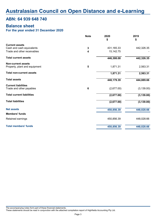### ABN: 64 939 648 740

### Balance sheet

#### For the year ended 31 December 2020

|                                  | <b>Note</b>             | 2020       | 2019        |  |
|----------------------------------|-------------------------|------------|-------------|--|
|                                  |                         | \$         | \$          |  |
| <b>Current assets</b>            |                         |            |             |  |
| Cash and cash equivalents        | 3                       | 431,165.33 | 442,326.35  |  |
| Trade and other receivables      | 4                       | 15,142.75  |             |  |
| <b>Total current assets</b>      |                         | 446,308.08 | 442,326.35  |  |
| <b>Non-current assets</b>        |                         |            |             |  |
| Property, plant and equipment    | $\overline{\mathbf{5}}$ | 1,871.31   | 2,563.31    |  |
| <b>Total non-current assets</b>  |                         | 1,871.31   | 2,563.31    |  |
| <b>Total assets</b>              |                         | 448,179.39 | 444,889.66  |  |
| <b>Current liabilities</b>       |                         |            |             |  |
| Trade and other payables         | 6                       | (2,677.00) | (3, 139.00) |  |
| <b>Total current liabilities</b> |                         | (2,677.00) | (3, 139.00) |  |
| <b>Total liabilities</b>         |                         | (2,677.00) | (3, 139.00) |  |
| <b>Net assets</b>                |                         | 450,856.39 | 448,028.66  |  |
| <b>Members' funds</b>            |                         |            |             |  |
| Retained earnings                |                         | 450,856.39 | 448,028.66  |  |
| <b>Total members' funds</b>      |                         | 450,856.39 | 448,028.66  |  |
|                                  |                         |            |             |  |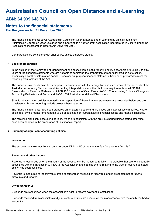### ABN: 64 939 648 740

#### For the year ended 31 December 2020 Notes to the financial statements

The financial statements cover Australasian Council on Open Distance and e-Learning as an individual entity. Australasian Council on Open Distance and e-Learning is a not-for-profit association incorporated in Victoria under the Associations Incorporation Reform Act 2012 ('the Act').

Comparatives are consistent with prior years, unless otherwise stated.

#### 1 Basis of preparation

In the opinion of the Committee of Management, the association is not a reporting entity since there are unlikely to exist users of the financial statements who are not able to command the preparation of reports tailored so as to satisfy specifically all of their information needs. These special purpose financial statements have been prepared to meet the reporting requirements of the Act.

The financial statements have been prepared in accordance with the recognition and measurement requirements of the Australian Accounting Standards and Accounting Interpretations, and the disclosure requirements of AASB 101 Presentation of Financial Statements, AASB 107 Statement of Cash Flows, AASB 108 Accounting Policies, Changes in Accounting Estimates and Errors and AASB 1054 Australian Additional Disclosures.

Significant accounting policies adopted in the preparation of these financial statements are presented below and are consistent with prior reporting periods unless otherwise stated.

The financial statements have been prepared on an accruals basis and are based on historical costs modified, where applicable, by the measurement at fair value of selected non-current assets, financial assets and financial liabilities.

The following significant accounting policies, which are consistent with the previous period unless stated otherwise, have been adopted in the preparation of this financial report.

#### 2 Summary of significant accounting policies

#### Income tax

The association is exempt from income tax under Division 50 of the Income Tax Assessment Act 1997.

#### Revenue and other income

Revenue is recognised when the amount of the revenue can be measured reliably, it is probable that economic benefits associated with the transaction will flow to the Association and specific criteria relating to the type of revenue as noted below, has been satisfied.

Revenue is measured at the fair value of the consideration received or receivable and is presented net of returns, discounts and rebates.

#### Dividend revenue

Dividends are recognised when the association's right to receive payment is established.

Dividends received from associates and joint venture entities are accounted for in accordance with the equity method of accounting.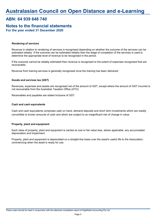### ABN: 64 939 648 740

#### For the year ended 31 December 2020 Notes to the financial statements

#### Rendering of services

Revenue in relation to rendering of services is recognised depending on whether the outcome of the services can be estimated reliably. If the outcome can be estimated reliably then the stage of completion of the services is used to determine the appropriate level of revenue to be recognised in the period.

If the outcome cannot be reliably estimated then revenue is recognised to the extent of expenses recognised that are recoverable.

Revenue from training services is generally recognised once the training has been delivered.

#### Goods and services tax (GST)

Revenues, expenses and assets are recognised net of the amount of GST, except where the amount of GST incurred is not recoverable from the Australian Taxation Office (ATO).

Receivables and payables are stated inclusive of GST.

#### Cash and cash equivalents

Cash and cash equivalents comprises cash on hand, demand deposits and short term investments which are readily convertible to known amounts of cash and which are subject to an insignificant risk of change in value.

#### Property, plant and equipment

Each class of property, plant and equipment is carried at cost or fair value less, where applicable, any accumulated depreciation and impairment.

Property, plant and equipment is depreciated on a straight-line basis over the asset's useful life to the Association, commencing when the asset is ready for use.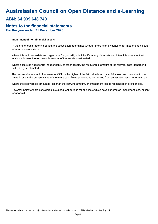### ABN: 64 939 648 740

#### For the year ended 31 December 2020 Notes to the financial statements

#### Impairment of non-financial assets

At the end of each reporting period, the association determines whether there is an evidence of an impairment indicator for non financial assets.

Where this indicator exists and regardless for goodwill, indefinite life intangible assets and intangible assets not yet available for use, the recoverable amount of the assets is estimated.

Where assets do not operate independently of other assets, the recoverable amount of the relevant cash generating unit (CGU) is estimated.

The recoverable amount of an asset or CGU is the higher of the fair value less costs of disposal and the value in use. Value in use is the present value of the future cash flows expected to be derived from an asset or cash generating unit.

Where the recoverable amount is less than the carrying amount, an impairment loss is recognised in profit or loss.

Reversal indicators are considered in subsequent periods for all assets which have suffered an impairment loss, except for goodwill.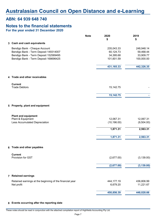### ABN: 64 939 648 740

#### For the year ended 31 December 2020 Notes to the financial statements

|                                                          | <b>Note</b> | 2020<br>\$   | 2019<br>\$  |
|----------------------------------------------------------|-------------|--------------|-------------|
| 3 Cash and cash equivalents                              |             |              |             |
| Bendigo Bank - Cheque Account                            |             | 235,043.33   | 248,948.14  |
| Bendigo Bank - Term Deposit 149314007                    |             | 60,124.73    | 59,468.44   |
| Bendigo Bank - Term Deposit 152589495                    |             | 34,395.68    | 33,909.77   |
| Bendigo Bank - Term Deposit 168696425                    |             | 101,601.59   | 100,000.00  |
|                                                          |             | 431, 165. 33 | 442,326.35  |
| 4 Trade and other receivables                            |             |              |             |
| <b>Current</b>                                           |             |              |             |
| <b>Trade Debtors</b>                                     |             | 15,142.75    |             |
|                                                          |             | 15,142.75    |             |
| 5 Property, plant and equipment                          |             |              |             |
|                                                          |             |              |             |
| <b>Plant and equipment</b><br>Plant & Equipment          |             | 12,067.31    | 12,067.31   |
| Less Accumulated Depreciation                            |             | (10, 196.00) | (9,504.00)  |
|                                                          |             | 1,871.31     | 2,563.31    |
|                                                          |             | 1,871.31     | 2,563.31    |
| 6 Trade and other payables                               |             |              |             |
| <b>Current</b>                                           |             |              |             |
| Provision for GST                                        |             | (2,677.00)   | (3, 139.00) |
|                                                          |             | (2,677.00)   | (3, 139.00) |
| 7 Retained earnings                                      |             |              |             |
| Retained earnings at the beginning of the financial year |             | 444, 177. 19 | 436,806.99  |
| Net profit                                               |             | 6,679.20     | 11,221.67   |
|                                                          |             | 450,856.39   | 448,028.66  |

#### 8 Events occurring after the reporting date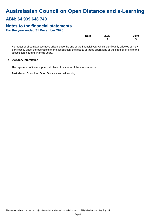### ABN: 64 939 648 740

## Notes to the financial statements

| For the year ended 31 December 2020 |  |
|-------------------------------------|--|
|-------------------------------------|--|

| <b>Note</b> | 2020 | 2019 |
|-------------|------|------|
|             | \$   | S    |

No matter or circumstances have arisen since the end of the financial year which significantly affected or may significantly affect the operations of the association, the results of those operations or the state of affairs of the association in future financial years.

#### 9 Statutory information

The registered office and principal place of business of the association is:

Australasian Council on Open Distance and e-Learning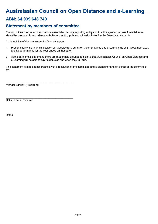## ABN: 64 939 648 740

## Statement by members of committee

The committee has determined that the association is not a reporting entity and that this special purpose financial report should be prepared in accordance with the accounting policies outlined in Note 2 to the financial statements.

In the opinion of the committee the financial report:

 $\_$  . The contribution of the contribution of  $\mathcal{L}_\mathcal{A}$ 

 $\_$  . The contribution of the contribution of  $\mathcal{L}_\mathcal{A}$ 

- 1. Presents fairly the financial position of Australasian Council on Open Distance and e-Learning as at 31 December 2020 and its performance for the year ended on that date.
- 2. At the date of this statement, there are reasonable grounds to believe that Australasian Council on Open Distance and e-Learning will be able to pay its debts as and when they fall due.

This statement is made in accordance with a resolution of the committee and is signed for and on behalf of the committee by:

Michael Sankey (President)

Colin Lowe (Treasurer)

Dated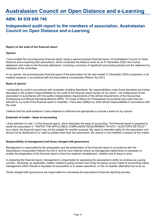### ABN: 64 939 648 740

## Independent audit report to the members of association, Australasian Council on Open Distance and e-Learning

#### Report on the audit of the financial report

#### Opinion

I have audited the accompanying financial report, being a special purpose financial report, of Australasian Council on Open Distance and e-Learning (the association), which comprises the balance sheet as at 31 December 2020, the income statement, and notes to the financial statements, including a summary of significant accounting policies and the statement by members of the committee.

In my opinion, the accompanying financial report of the association for the year ended 31 December 2020 is prepared, in all material respects, in accordance with the Associations Incorporation Reform Act 2012.

#### Basis of opinion

I conducted my audit in accordance with Australian Auditing Standards. My responsibilities under those standards are further described in the auditor's responsibilities for the audit of the financial report section of my report. I am independent of the association in accordance with the auditor independence requirements of the ethical requirements of the Accounting Professional and Ethical Standards Board's APES 110 Code of Ethics for Professional Accountants (the code) that are relevant to my audit of the financial report in Australia. I have also fulfilled my other ethical responsibilities in accordance with the code.

I believe that the audit evidence I have obtained is sufficient and appropriate to provide a basis for my opinion.

#### Emphasis of matter - basis of accounting

I draw attention to note 1 of the financial report, which describes the basis of accounting. The financial report is prepared to assist the association in \*\*ENTER THE APPLICABLE COMPLIANCE REQUIREMENT IN NTD > AUDITOR'S DETAILS\*\*. As a result, the financial report may not be suitable for another purpose. My report is intended solely for the association and should not be distributed to or used by parties other than the association. My opinion is not modified in respect of this matter.

#### Responsibility of management and those charged with governance

Management is responsible for the preparation and fair presentation of the financial report in accordance with the Associations Incorporation Reform Act 2012, and for such internal control as management determines is necessary to enable the preparation of the financial report is free from material misstatement, whether due to fraud or error.

In preparing the financial report, management is responsible for assessing the association's ability to continue as a going concern, disclosing, as applicable, matters related to going concern and using the going concern basis of accounting unless management either intends to liquidate the association or to cease operations, or has no realistic alternative but to do so.

Those charged with governance are responsible for overseeing the association's financial reporting process.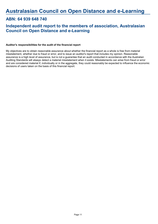## ABN: 64 939 648 740

## Independent audit report to the members of association, Australasian Council on Open Distance and e-Learning

#### Auditor's responsibilities for the audit of the financial report

My objectives are to obtain reasonable assurance about whether the financial report as a whole is free from material misstatement, whether due to fraud or error, and to issue an auditor's report that includes my opinion. Reasonable assurance is a high level of assurance, but is not a guarantee that an audit conducted in accordance with the Australian Auditing Standards will always detect a material misstatement when it exists. Misstatements can arise from fraud or error and are considered material if, individually or in the aggregate, they could reasonably be expected to influence the economic decisions of users taken on the basis of this financial report.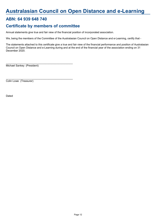## ABN: 64 939 648 740

## Certificate by members of committee

 $\_$  . The contribution of the contribution of  $\mathcal{L}_\mathcal{A}$ 

 $\_$  . The contribution of the contribution of  $\mathcal{L}_\mathcal{A}$ 

Annual statements give true and fair view of the financial position of incorporated association.

We, being the members of the Committee of the Australasian Council on Open Distance and e-Learning, certify that -

The statements attached to this certificate give a true and fair view of the financial performance and position of Australasian Council on Open Distance and e-Learning during and at the end of the financial year of the association ending on 31 December 2020.

Michael Sankey (President)

Colin Lowe (Treasurer)

Dated